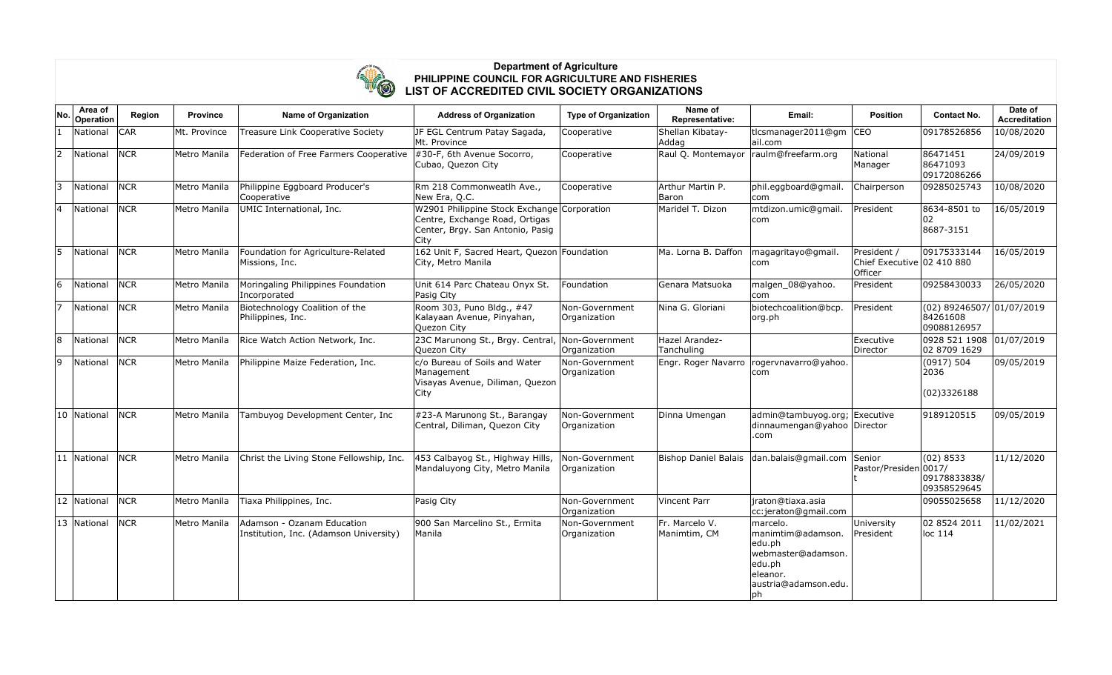

## **Department of Agriculture PHILIPPINE COUNCIL FOR AGRICULTURE AND FISHERIES LIST OF ACCREDITED CIVIL SOCIETY ORGANIZATIONS**

| No.            | Area of<br>Operation | Region     | <b>Province</b> | <b>Name of Organization</b>                                          | <b>Address of Organization</b>                                                                                            | <b>Type of Organization</b>    | Name of<br>Representative:     | Email:                                                                                                              | <b>Position</b>                                      | <b>Contact No.</b>                                     | Date of<br><b>Accreditation</b> |
|----------------|----------------------|------------|-----------------|----------------------------------------------------------------------|---------------------------------------------------------------------------------------------------------------------------|--------------------------------|--------------------------------|---------------------------------------------------------------------------------------------------------------------|------------------------------------------------------|--------------------------------------------------------|---------------------------------|
| $\blacksquare$ | National             | <b>CAR</b> | Mt. Province    | Treasure Link Cooperative Society                                    | JF EGL Centrum Patay Sagada,<br>Mt. Province                                                                              | Cooperative                    | Shellan Kibatay-<br>Addag      | tlcsmanager2011@gm<br>ail.com                                                                                       | CEO                                                  | 09178526856                                            | 10/08/2020                      |
| 2              | National             | <b>NCR</b> | Metro Manila    | Federation of Free Farmers Cooperative                               | $\#30$ -F, 6th Avenue Socorro,<br>Cubao, Quezon City                                                                      | Cooperative                    | Raul Q. Montemayor             | raulm@freefarm.org                                                                                                  | National<br>Manager                                  | 86471451<br>86471093<br>09172086266                    | 24/09/2019                      |
| 3              | National             | <b>NCR</b> | Metro Manila    | Philippine Eggboard Producer's<br>Cooperative                        | Rm 218 Commonweatlh Ave.,<br>New Era, Q.C.                                                                                | Cooperative                    | Arthur Martin P.<br>Baron      | phil.eggboard@gmail.<br> com                                                                                        | Chairperson                                          | 09285025743                                            | 10/08/2020                      |
| 4              | National             | <b>NCR</b> | Metro Manila    | UMIC International, Inc.                                             | W2901 Philippine Stock Exchange Corporation<br>Centre, Exchange Road, Ortigas<br>Center, Brgy. San Antonio, Pasig<br>City |                                | Maridel T. Dizon               | mtdizon.umic@gmail.<br>com                                                                                          | President                                            | 8634-8501 to<br>02<br>8687-3151                        | 16/05/2019                      |
| 5              | National             | <b>NCR</b> | Metro Manila    | Foundation for Agriculture-Related<br>Missions, Inc.                 | 162 Unit F, Sacred Heart, Quezon Foundation<br>City, Metro Manila                                                         |                                | Ma. Lorna B. Daffon            | magagritayo@gmail.<br>com                                                                                           | President /<br>Chief Executive 02 410 880<br>Officer | 09175333144                                            | 16/05/2019                      |
| 6              | National             | <b>NCR</b> | Metro Manila    | Moringaling Philippines Foundation<br>Incorporated                   | Unit 614 Parc Chateau Onyx St.<br>Pasig City                                                                              | Foundation                     | Genara Matsuoka                | malgen_08@yahoo.<br>com                                                                                             | President                                            | 09258430033                                            | 26/05/2020                      |
| 17             | National             | <b>NCR</b> | Metro Manila    | Biotechnology Coalition of the<br>Philippines, Inc.                  | Room 303, Puno Bldg., #47<br>Kalayaan Avenue, Pinyahan,<br>Quezon City                                                    | Non-Government<br>Organization | Nina G. Gloriani               | biotechcoalition@bcp.<br>org.ph                                                                                     | President                                            | $(02)$ 89246507/ 01/07/2019<br>84261608<br>09088126957 |                                 |
| 8              | National             | <b>NCR</b> | Metro Manila    | Rice Watch Action Network, Inc.                                      | 23C Marunong St., Brgy. Central,<br>Quezon City                                                                           | Non-Government<br>Organization | Hazel Arandez-<br>Tanchuling   |                                                                                                                     | Executive<br>Director                                | 0928 521 1908 01/07/2019<br>02 8709 1629               |                                 |
| 9              | National             | <b>NCR</b> | Metro Manila    | Philippine Maize Federation, Inc.                                    | c/o Bureau of Soils and Water<br>Management<br>Visayas Avenue, Diliman, Quezon<br><b>City</b>                             | Non-Government<br>Organization | Engr. Roger Navarro            | rogervnavarro@yahoo.<br>com                                                                                         |                                                      | (0917) 504<br>2036<br>(02)3326188                      | 09/05/2019                      |
|                | 10 National          | <b>NCR</b> | Metro Manila    | Tambuyog Development Center, Inc                                     | #23-A Marunong St., Barangay<br>Central, Diliman, Quezon City                                                             | Non-Government<br>Organization | Dinna Umengan                  | admin@tambuyog.org; Executive<br>dinnaumengan@yahoo Director<br>.com                                                |                                                      | 9189120515                                             | 09/05/2019                      |
|                | 11 National          | <b>NCR</b> | Metro Manila    | Christ the Living Stone Fellowship, Inc.                             | 453 Calbayog St., Highway Hills,<br>Mandaluyong City, Metro Manila                                                        | Non-Government<br>Organization | <b>Bishop Daniel Balais</b>    | dan.balais@gmail.com                                                                                                | Senior<br>Pastor/Presiden                            | (02) 8533<br> 0017/<br>09178833838/<br>09358529645     | 11/12/2020                      |
|                | 12 National          | <b>NCR</b> | Metro Manila    | Tiaxa Philippines, Inc.                                              | Pasig City                                                                                                                | Non-Government<br>Organization | <b>Vincent Parr</b>            | iraton@tiaxa.asia<br>cc:jeraton@gmail.com                                                                           |                                                      | 09055025658                                            | 11/12/2020                      |
|                | 13 National          | <b>NCR</b> | Metro Manila    | Adamson - Ozanam Education<br>Institution, Inc. (Adamson University) | 900 San Marcelino St., Ermita<br> Manila                                                                                  | Non-Government<br>Organization | Fr. Marcelo V.<br>Manimtim, CM | marcelo.<br>manimtim@adamson.<br>edu.ph<br>webmaster@adamson.<br>edu.ph<br>leleanor.<br>austria@adamson.edu.<br> ph | University<br>President                              | 02 8524 2011<br>$ $ loc 114                            | 11/02/2021                      |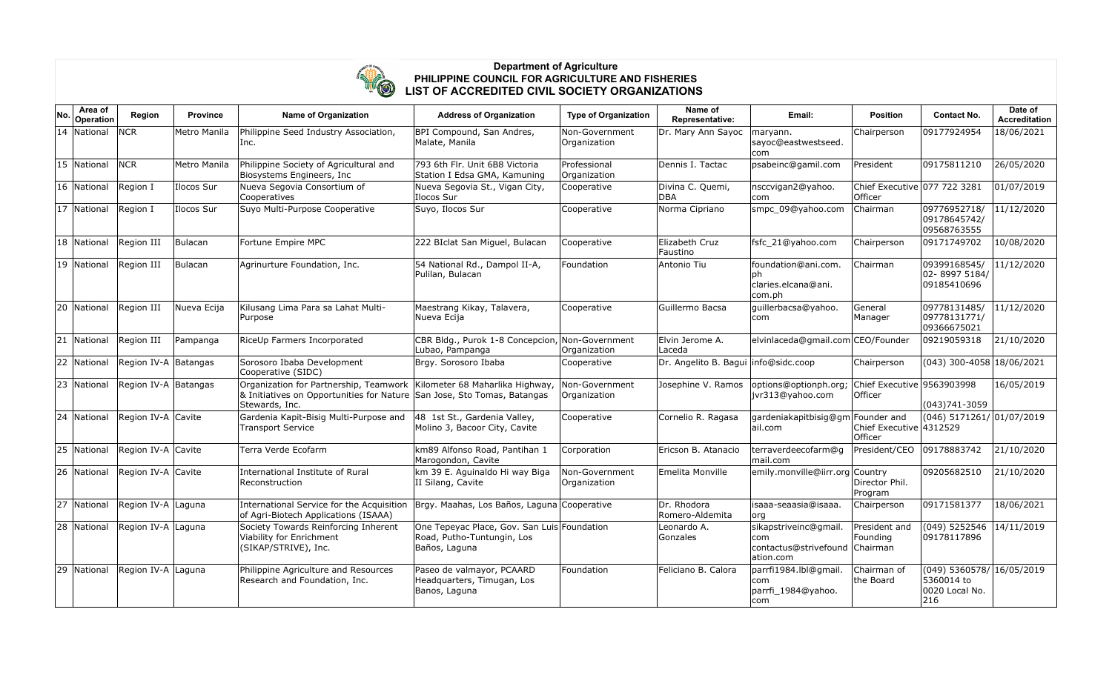

## **Department of Agriculture PHILIPPINE COUNCIL FOR AGRICULTURE AND FISHERIES LIST OF ACCREDITED CIVIL SOCIETY ORGANIZATIONS**

| No.          | Area of<br>Operation | Region               | <b>Province</b> | <b>Name of Organization</b>                                                                                                         | <b>Address of Organization</b>                                                             | <b>Type of Organization</b>    | Name of<br>Representative:             | Email:                                                             | <b>Position</b>                         | <b>Contact No.</b>                                               | Date of<br><b>Accreditation</b> |
|--------------|----------------------|----------------------|-----------------|-------------------------------------------------------------------------------------------------------------------------------------|--------------------------------------------------------------------------------------------|--------------------------------|----------------------------------------|--------------------------------------------------------------------|-----------------------------------------|------------------------------------------------------------------|---------------------------------|
|              | 14 National          | <b>NCR</b>           | Metro Manila    | Philippine Seed Industry Association,<br>lnc.                                                                                       | BPI Compound, San Andres,<br>Malate, Manila                                                | Non-Government<br>Organization | Dr. Mary Ann Sayoc                     | maryann.<br>sayoc@eastwestseed.<br>lcom.                           | Chairperson                             | 09177924954                                                      | 18/06/2021                      |
|              | 15 National          | <b>NCR</b>           | Metro Manila    | Philippine Society of Agricultural and<br>Biosystems Engineers, Inc                                                                 | 793 6th Flr. Unit 6B8 Victoria<br>Station I Edsa GMA, Kamuning                             | Professional<br>Organization   | Dennis I. Tactac                       | psabeinc@gamil.com                                                 | President                               | 09175811210                                                      | 26/05/2020                      |
|              | 16 National          | Region I             | Ilocos Sur      | Nueva Segovia Consortium of<br>Cooperatives                                                                                         | Nueva Segovia St., Vigan City,<br>Ilocos Sur                                               | Cooperative                    | Divina C. Quemi,<br><b>DBA</b>         | nsccvigan2@yahoo.<br>lcom                                          | Chief Executive 077 722 3281<br>Officer |                                                                  | 01/07/2019                      |
|              | 17 National          | Region I             | Ilocos Sur      | Suyo Multi-Purpose Cooperative                                                                                                      | Suyo, Ilocos Sur                                                                           | Cooperative                    | Norma Cipriano                         | smpc_09@yahoo.com                                                  | Chairman                                | 09776952718/<br>09178645742/<br>09568763555                      | 11/12/2020                      |
|              | 18 National          | Region III           | Bulacan         | Fortune Empire MPC                                                                                                                  | 222 BIclat San Miguel, Bulacan                                                             | Cooperative                    | Elizabeth Cruz<br>Faustino             | fsfc 21@yahoo.com                                                  | Chairperson                             | 09171749702                                                      | 10/08/2020                      |
|              | 19 National          | Region III           | Bulacan         | Agrinurture Foundation, Inc.                                                                                                        | 54 National Rd., Dampol II-A,<br>Pulilan, Bulacan                                          | Foundation                     | Antonio Tiu                            | foundation@ani.com.<br>l ph<br>claries.elcana@ani.<br>com.ph       | Chairman                                | 09399168545/<br>02-8997 5184/<br>09185410696                     | 11/12/2020                      |
| 20           | National             | Region III           | Nueva Ecija     | Kilusang Lima Para sa Lahat Multi-<br>Purpose                                                                                       | Maestrang Kikay, Talavera,<br>Nueva Ecija                                                  | Cooperative                    | Guillermo Bacsa                        | guillerbacsa@yahoo.<br>lcom.                                       | General<br>Manager                      | 09778131485/<br>09778131771/<br>09366675021                      | 11/12/2020                      |
| $ 21\rangle$ | National             | Region III           | Pampanga        | RiceUp Farmers Incorporated                                                                                                         | CBR Bldg., Purok 1-8 Concepcion, Non-Government<br>Lubao, Pampanga                         | Organization                   | Elvin Jerome A.<br>Laceda              | elvinlaceda@gmail.com CEO/Founder                                  |                                         | 09219059318                                                      | 21/10/2020                      |
|              | 22 National          | Region IV-A Batangas |                 | Sorosoro Ibaba Development<br>Cooperative (SIDC)                                                                                    | Brgy. Sorosoro Ibaba                                                                       | Cooperative                    | Dr. Angelito B. Bagui   info@sidc.coop |                                                                    | Chairperson                             | $(043)$ 300-4058 18/06/2021                                      |                                 |
|              | 23 National          | Region IV-A Batangas |                 | Organization for Partnership, Teamwork<br>& Initiatives on Opportunities for Nature San Jose, Sto Tomas, Batangas<br>Stewards, Inc. | Kilometer 68 Maharlika Highway,                                                            | Non-Government<br>Organization | Josephine V. Ramos                     | options@optionph.org;<br>jvr313@yahoo.com                          | Chief Executive 9563903998<br>Officer   | (043)741-3059                                                    | 16/05/2019                      |
|              | 24 National          | Region IV-A Cavite   |                 | Gardenia Kapit-Bisig Multi-Purpose and<br><b>Transport Service</b>                                                                  | 48 1st St., Gardenia Valley,<br>Molino 3, Bacoor City, Cavite                              | Cooperative                    | Cornelio R. Ragasa                     | gardeniakapitbisig@gm Founder and<br>ail.com                       | Chief Executive 4312529<br>Officer      | $(046)$ 5171261/ 01/07/2019                                      |                                 |
|              | 25 National          | Region IV-A Cavite   |                 | Terra Verde Ecofarm                                                                                                                 | km89 Alfonso Road, Pantihan 1<br>Marogondon, Cavite                                        | Corporation                    | Ericson B. Atanacio                    | terraverdeecofarm@g<br>mail.com                                    | President/CEO                           | 09178883742                                                      | 21/10/2020                      |
|              | 26 National          | Region IV-A Cavite   |                 | International Institute of Rural<br>Reconstruction                                                                                  | km 39 E. Aguinaldo Hi way Biga<br>II Silang, Cavite                                        | Non-Government<br>Organization | Emelita Monville                       | emily.monville@iirr.org Country                                    | Director Phil.<br>Program               | 09205682510                                                      | 21/10/2020                      |
|              | 27 National          | Region IV-A Laguna   |                 | International Service for the Acquisition<br>of Agri-Biotech Applications (ISAAA)                                                   | Brgy. Maahas, Los Baños, Laguna Cooperative                                                |                                | Dr. Rhodora<br>Romero-Aldemita         | isaaa-seaasia@isaaa.<br> org                                       | Chairperson                             | 09171581377                                                      | 18/06/2021                      |
|              | 28 National          | Region IV-A Laguna   |                 | Society Towards Reinforcing Inherent<br>Viability for Enrichment<br>(SIKAP/STRIVE), Inc.                                            | One Tepeyac Place, Gov. San Luis Foundation<br>Road, Putho-Tuntungin, Los<br>Baños, Laguna |                                | Leonardo A.<br>Gonzales                | sikapstriveinc@gmail.<br>com<br>contactus@strivefound<br>ation.com | President and<br>Founding<br>Chairman   | (049) 5252546<br>09178117896                                     | 14/11/2019                      |
|              | 29 National          | Region IV-A Laguna   |                 | Philippine Agriculture and Resources<br>Research and Foundation, Inc.                                                               | Paseo de valmayor, PCAARD<br>Headquarters, Timugan, Los<br>Banos, Laguna                   | Foundation                     | Feliciano B. Calora                    | parrfi1984.lbl@gmail.<br> com<br>parrfi_1984@yahoo.<br>com         | Chairman of<br>the Board                | (049) 5360578/ 16/05/2019<br>5360014 to<br>0020 Local No.<br>216 |                                 |